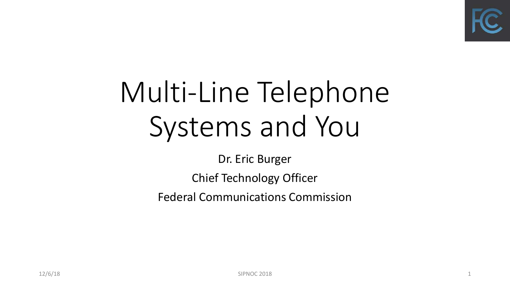

## Multi-Line Telephone Systems and You

Dr. Eric Burger

Chief Technology Officer

Federal Communications Commission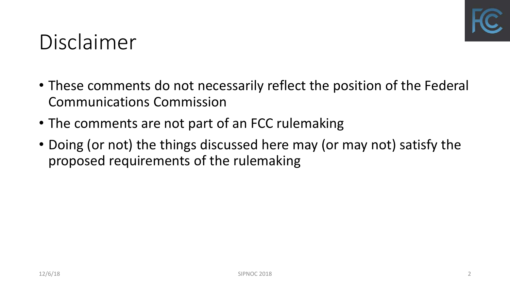

#### Disclaimer

- These comments do not necessarily reflect the position of the Federal Communications Commission
- The comments are not part of an FCC rulemaking
- Doing (or not) the things discussed here may (or may not) satisfy the proposed requirements of the rulemaking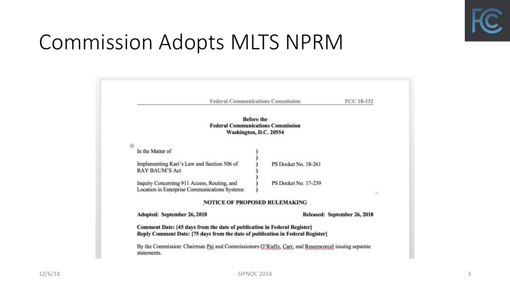

#### Commission Adopts MLTS NPRM

| <b>Federal Communications Commission</b>                                                                                                                   | FCC 18-132                   |  |  |
|------------------------------------------------------------------------------------------------------------------------------------------------------------|------------------------------|--|--|
| <b>Before the</b><br><b>Federal Communications Commission</b>                                                                                              |                              |  |  |
| Washington, D.C. 20554                                                                                                                                     |                              |  |  |
| $+$<br>In the Matter of                                                                                                                                    |                              |  |  |
| Implementing Kari's Law and Section 506 of<br><b>RAY BAUM'S Act</b>                                                                                        | PS Docket No. 18-261         |  |  |
| Inquiry Concerning 911 Access, Routing, and<br>Location in Enterprise Communications Systems                                                               | PS Docket No. 17-239         |  |  |
| <b>NOTICE OF PROPOSED RULEMAKING</b>                                                                                                                       |                              |  |  |
| Adopted: September 26, 2018                                                                                                                                | Released: September 26, 2018 |  |  |
| Comment Date: [45 days from the date of publication in Federal Register]<br>Reply Comment Date: [75 days from the date of publication in Federal Register] |                              |  |  |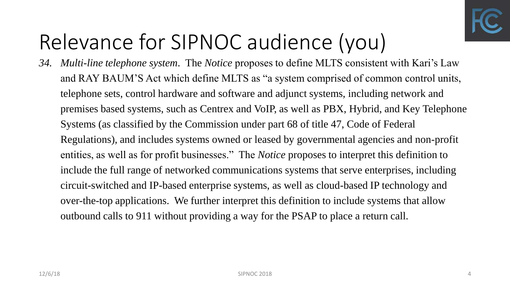

## Relevance for SIPNOC audience (you)

*34. Multi-line telephone system*. The *Notice* proposes to define MLTS consistent with Kari's Law and RAY BAUM'S Act which define MLTS as "a system comprised of common control units, telephone sets, control hardware and software and adjunct systems, including network and premises based systems, such as Centrex and VoIP, as well as PBX, Hybrid, and Key Telephone Systems (as classified by the Commission under part 68 of title 47, Code of Federal Regulations), and includes systems owned or leased by governmental agencies and non-profit entities, as well as for profit businesses." The *Notice* proposes to interpret this definition to include the full range of networked communications systems that serve enterprises, including circuit-switched and IP-based enterprise systems, as well as cloud-based IP technology and over-the-top applications. We further interpret this definition to include systems that allow outbound calls to 911 without providing a way for the PSAP to place a return call.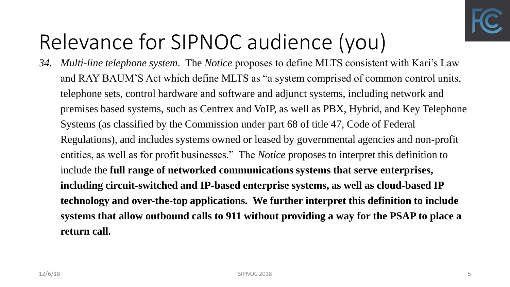

## Relevance for SIPNOC audience (you)

*34. Multi-line telephone system*. The *Notice* proposes to define MLTS consistent with Kari's Law and RAY BAUM'S Act which define MLTS as "a system comprised of common control units, telephone sets, control hardware and software and adjunct systems, including network and premises based systems, such as Centrex and VoIP, as well as PBX, Hybrid, and Key Telephone Systems (as classified by the Commission under part 68 of title 47, Code of Federal Regulations), and includes systems owned or leased by governmental agencies and non-profit entities, as well as for profit businesses." The *Notice* proposes to interpret this definition to include the **full range of networked communications systems that serve enterprises, including circuit-switched and IP-based enterprise systems, as well as cloud-based IP technology and over-the-top applications. We further interpret this definition to include systems that allow outbound calls to 911 without providing a way for the PSAP to place a return call.**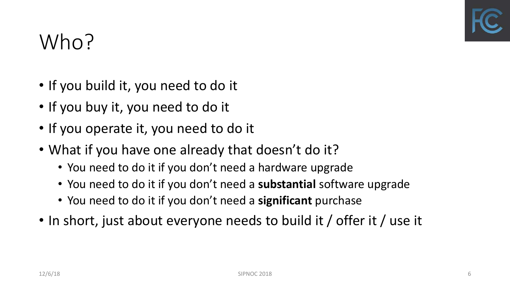

#### Who?

- If you build it, you need to do it
- If you buy it, you need to do it
- If you operate it, you need to do it
- What if you have one already that doesn't do it?
	- You need to do it if you don't need a hardware upgrade
	- You need to do it if you don't need a **substantial** software upgrade
	- You need to do it if you don't need a **significant** purchase
- In short, just about everyone needs to build it / offer it / use it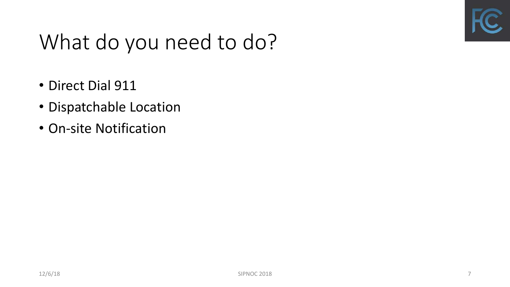

#### What do you need to do?

- Direct Dial 911
- Dispatchable Location
- On-site Notification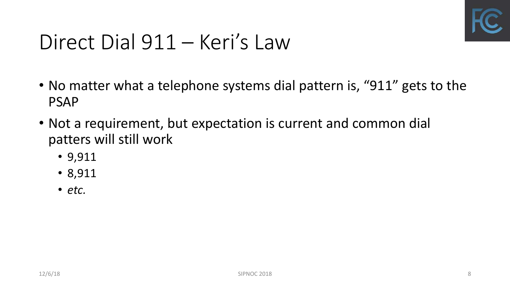

#### Direct Dial 911 – Keri's Law

- No matter what a telephone systems dial pattern is, "911" gets to the PSAP
- Not a requirement, but expectation is current and common dial patters will still work
	- 9,911
	- 8,911
	- *etc.*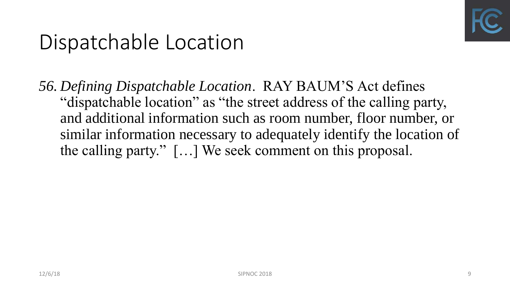

#### Dispatchable Location

*56. Defining Dispatchable Location*. RAY BAUM'S Act defines "dispatchable location" as "the street address of the calling party, and additional information such as room number, floor number, or similar information necessary to adequately identify the location of the calling party." […] We seek comment on this proposal.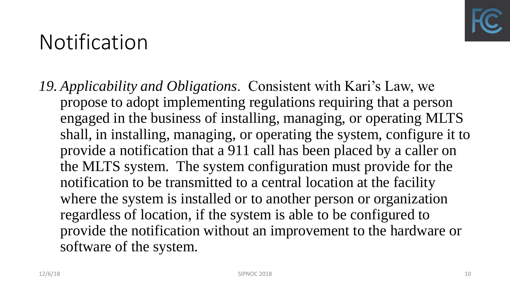

#### Notification

*19. Applicability and Obligations*. Consistent with Kari's Law, we propose to adopt implementing regulations requiring that a person engaged in the business of installing, managing, or operating MLTS shall, in installing, managing, or operating the system, configure it to provide a notification that a 911 call has been placed by a caller on the MLTS system. The system configuration must provide for the notification to be transmitted to a central location at the facility where the system is installed or to another person or organization regardless of location, if the system is able to be configured to provide the notification without an improvement to the hardware or software of the system.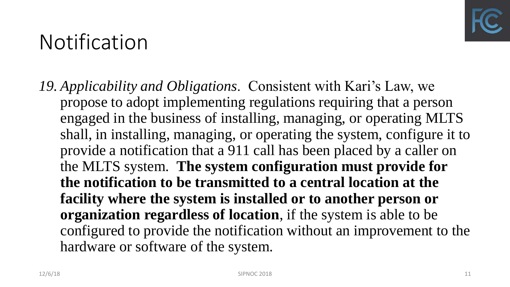

#### Notification

*19. Applicability and Obligations*. Consistent with Kari's Law, we propose to adopt implementing regulations requiring that a person engaged in the business of installing, managing, or operating MLTS shall, in installing, managing, or operating the system, configure it to provide a notification that a 911 call has been placed by a caller on the MLTS system. **The system configuration must provide for the notification to be transmitted to a central location at the facility where the system is installed or to another person or organization regardless of location**, if the system is able to be configured to provide the notification without an improvement to the hardware or software of the system.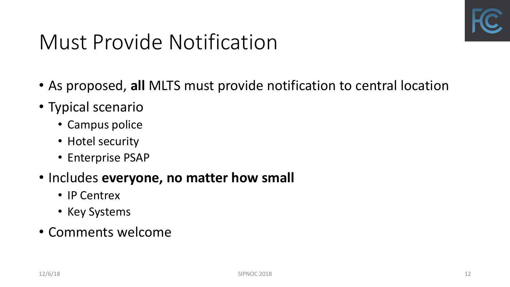

#### Must Provide Notification

- As proposed, **all** MLTS must provide notification to central location
- Typical scenario
	- Campus police
	- Hotel security
	- Enterprise PSAP
- Includes **everyone, no matter how small**
	- IP Centrex
	- Key Systems
- Comments welcome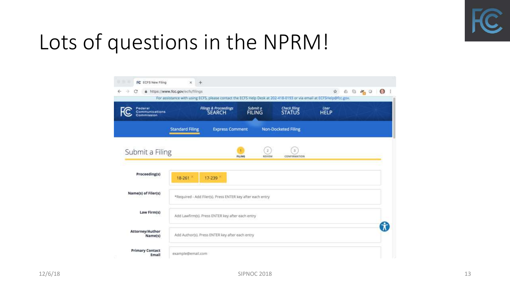

#### Lots of questions in the NPRM!

| œ<br>ü                                  | https://www.fcc.gov/ecfs/filings                           | For assistance with using ECFS, please contact the ECFS Help Desk at 202-418-0193 or via email at ECFSHelp@fcc.gov. |                                           |                        | $\mathcal{H}$ | $0 - \frac{1}{2}$ | $\bigcirc$<br>÷ |
|-----------------------------------------|------------------------------------------------------------|---------------------------------------------------------------------------------------------------------------------|-------------------------------------------|------------------------|---------------|-------------------|-----------------|
| Federal<br>Communications<br>Commission |                                                            | <b>Filings &amp; Proceedings</b><br><b>SEARCH</b>                                                                   | Submit a<br><b>FILING</b>                 | Check filing<br>STATUS | $User$ HELP   |                   |                 |
|                                         | <b>Standard Filing</b>                                     | <b>Express Comment</b>                                                                                              |                                           | Non-Docketed Filing    |               |                   |                 |
| Submit a Filing                         |                                                            |                                                                                                                     | $\overline{2}$<br><b>FILING</b><br>REVIEW | з<br>CONFIRMATION      |               |                   |                 |
| Proceeding(s)                           | 18-261                                                     | 17-239                                                                                                              |                                           |                        |               |                   |                 |
| Name(s) of Filer(s)                     | *Required - Add Filer(s). Press ENTER key after each entry |                                                                                                                     |                                           |                        |               |                   |                 |
| Law Firm(s)                             | Add Lawfirm(s). Press ENTER key after each entry           |                                                                                                                     |                                           |                        |               |                   |                 |
| Attorney/Author<br>Name(s)              | Add Author(s). Press ENTER key after each entry            |                                                                                                                     |                                           |                        |               |                   |                 |
| <b>Primary Contact</b><br>Email         | example@email.com                                          |                                                                                                                     |                                           |                        |               |                   |                 |